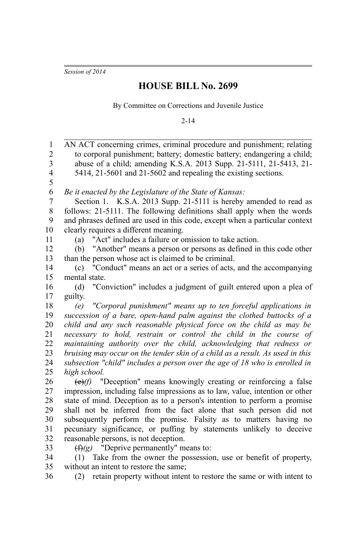*Session of 2014*

## **HOUSE BILL No. 2699**

By Committee on Corrections and Juvenile Justice

2-14

| $\mathbf{1}$<br>$\overline{2}$<br>3 | AN ACT concerning crimes, criminal procedure and punishment; relating<br>to corporal punishment; battery; domestic battery; endangering a child;<br>abuse of a child; amending K.S.A. 2013 Supp. 21-5111, 21-5413, 21- |
|-------------------------------------|------------------------------------------------------------------------------------------------------------------------------------------------------------------------------------------------------------------------|
| $\overline{4}$<br>5                 | 5414, 21-5601 and 21-5602 and repealing the existing sections.                                                                                                                                                         |
| $\boldsymbol{6}$                    | Be it enacted by the Legislature of the State of Kansas:                                                                                                                                                               |
| $\boldsymbol{7}$                    | Section 1. K.S.A. 2013 Supp. 21-5111 is hereby amended to read as                                                                                                                                                      |
| $8\,$                               | follows: 21-5111. The following definitions shall apply when the words                                                                                                                                                 |
| 9                                   | and phrases defined are used in this code, except when a particular context                                                                                                                                            |
| 10                                  | clearly requires a different meaning.                                                                                                                                                                                  |
| 11                                  | (a) "Act" includes a failure or omission to take action.                                                                                                                                                               |
| 12                                  | (b) "Another" means a person or persons as defined in this code other                                                                                                                                                  |
| 13                                  | than the person whose act is claimed to be criminal.                                                                                                                                                                   |
| 14                                  | (c) "Conduct" means an act or a series of acts, and the accompanying                                                                                                                                                   |
| 15                                  | mental state.                                                                                                                                                                                                          |
| 16                                  | (d) "Conviction" includes a judgment of guilt entered upon a plea of                                                                                                                                                   |
| 17                                  | guilty.                                                                                                                                                                                                                |
| 18                                  | (e) "Corporal punishment" means up to ten forceful applications in                                                                                                                                                     |
| 19                                  | succession of a bare, open-hand palm against the clothed buttocks of a                                                                                                                                                 |
| 20                                  | child and any such reasonable physical force on the child as may be                                                                                                                                                    |
| 21                                  | necessary to hold, restrain or control the child in the course of                                                                                                                                                      |
| 22                                  | maintaining authority over the child, acknowledging that redness or                                                                                                                                                    |
| 23                                  | bruising may occur on the tender skin of a child as a result. As used in this                                                                                                                                          |
| 24                                  | subsection "child" includes a person over the age of 18 who is enrolled in                                                                                                                                             |
| 25                                  | high school.                                                                                                                                                                                                           |
| 26                                  | $\Theta(f)$ "Deception" means knowingly creating or reinforcing a false                                                                                                                                                |
| 27                                  | impression, including false impressions as to law, value, intention or other                                                                                                                                           |
| 28                                  | state of mind. Deception as to a person's intention to perform a promise                                                                                                                                               |
| 29                                  | shall not be inferred from the fact alone that such person did not                                                                                                                                                     |
| 30                                  | subsequently perform the promise. Falsity as to matters having no                                                                                                                                                      |
| 31                                  | pecuniary significance, or puffing by statements unlikely to deceive                                                                                                                                                   |
| 32                                  | reasonable persons, is not deception.                                                                                                                                                                                  |
| 33                                  | $(f)(g)$ "Deprive permanently" means to:                                                                                                                                                                               |
| 34                                  | Take from the owner the possession, use or benefit of property,<br>(1)                                                                                                                                                 |
| 35                                  | without an intent to restore the same;                                                                                                                                                                                 |
| 36                                  | (2) retain property without intent to restore the same or with intent to                                                                                                                                               |
|                                     |                                                                                                                                                                                                                        |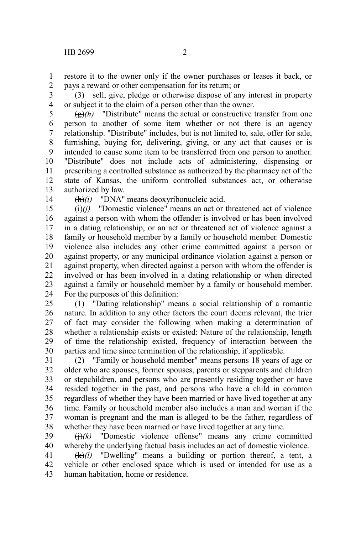restore it to the owner only if the owner purchases or leases it back, or pays a reward or other compensation for its return; or 1 2

(3) sell, give, pledge or otherwise dispose of any interest in property or subject it to the claim of a person other than the owner. 3 4

 $\left(\frac{g}{g}\right)$  "Distribute" means the actual or constructive transfer from one person to another of some item whether or not there is an agency relationship. "Distribute" includes, but is not limited to, sale, offer for sale, furnishing, buying for, delivering, giving, or any act that causes or is intended to cause some item to be transferred from one person to another. "Distribute" does not include acts of administering, dispensing or prescribing a controlled substance as authorized by the pharmacy act of the state of Kansas, the uniform controlled substances act, or otherwise authorized by law. 5 6 7 8 9 10 11 12 13

14

(h)*(i)* "DNA" means deoxyribonucleic acid.

 $\overrightarrow{(i)}$ *(i)* "Domestic violence" means an act or threatened act of violence against a person with whom the offender is involved or has been involved in a dating relationship, or an act or threatened act of violence against a family or household member by a family or household member. Domestic violence also includes any other crime committed against a person or against property, or any municipal ordinance violation against a person or against property, when directed against a person with whom the offender is involved or has been involved in a dating relationship or when directed against a family or household member by a family or household member. For the purposes of this definition: 15 16 17 18 19 20 21 22 23 24

(1) "Dating relationship" means a social relationship of a romantic nature. In addition to any other factors the court deems relevant, the trier of fact may consider the following when making a determination of whether a relationship exists or existed: Nature of the relationship, length of time the relationship existed, frequency of interaction between the parties and time since termination of the relationship, if applicable. 25 26 27 28 29 30

(2) "Family or household member" means persons 18 years of age or older who are spouses, former spouses, parents or stepparents and children or stepchildren, and persons who are presently residing together or have resided together in the past, and persons who have a child in common regardless of whether they have been married or have lived together at any time. Family or household member also includes a man and woman if the woman is pregnant and the man is alleged to be the father, regardless of whether they have been married or have lived together at any time. 31 32 33 34 35 36 37 38

(j)*(k)* "Domestic violence offense" means any crime committed whereby the underlying factual basis includes an act of domestic violence. 39 40

(k)*(l)* "Dwelling" means a building or portion thereof, a tent, a vehicle or other enclosed space which is used or intended for use as a human habitation, home or residence. 41 42 43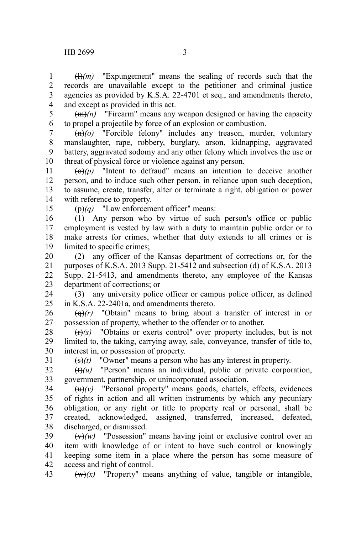$(H)(m)$  "Expungement" means the sealing of records such that the records are unavailable except to the petitioner and criminal justice agencies as provided by K.S.A. 22-4701 et seq., and amendments thereto, and except as provided in this act. 1 2 3 4

5

(m)*(n)* "Firearm" means any weapon designed or having the capacity to propel a projectile by force of an explosion or combustion. 6

(n)*(o)* "Forcible felony" includes any treason, murder, voluntary manslaughter, rape, robbery, burglary, arson, kidnapping, aggravated battery, aggravated sodomy and any other felony which involves the use or threat of physical force or violence against any person. 7 8 9 10

 $\overline{(0)}(p)$  "Intent to defraud" means an intention to deceive another person, and to induce such other person, in reliance upon such deception, to assume, create, transfer, alter or terminate a right, obligation or power with reference to property. 11 12 13 14

15

(p)*(q)* "Law enforcement officer" means:

(1) Any person who by virtue of such person's office or public employment is vested by law with a duty to maintain public order or to make arrests for crimes, whether that duty extends to all crimes or is limited to specific crimes: 16 17 18 19

(2) any officer of the Kansas department of corrections or, for the purposes of K.S.A. 2013 Supp. 21-5412 and subsection (d) of K.S.A. 2013 Supp. 21-5413, and amendments thereto, any employee of the Kansas department of corrections; or 20 21 22 23

(3) any university police officer or campus police officer, as defined in K.S.A. 22-2401a, and amendments thereto. 24 25

 $\left(\frac{q}{r}\right)$  "Obtain" means to bring about a transfer of interest in or possession of property, whether to the offender or to another. 26 27

(r)*(s)* "Obtains or exerts control" over property includes, but is not limited to, the taking, carrying away, sale, conveyance, transfer of title to, interest in, or possession of property. 28 29 30 31

(s)*(t)* "Owner" means a person who has any interest in property.

(t)*(u)* "Person" means an individual, public or private corporation, government, partnership, or unincorporated association. 32 33

 $(u)(v)$  "Personal property" means goods, chattels, effects, evidences of rights in action and all written instruments by which any pecuniary obligation, or any right or title to property real or personal, shall be created, acknowledged, assigned, transferred, increased, defeated, discharged, or dismissed. 34 35 36 37 38

(v)*(w)* "Possession" means having joint or exclusive control over an item with knowledge of or intent to have such control or knowingly keeping some item in a place where the person has some measure of access and right of control. 39 40 41 42

 $(w)(x)$  "Property" means anything of value, tangible or intangible, 43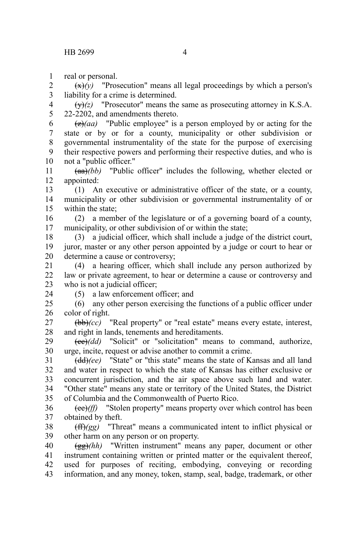real or personal. 1

 $\left(\frac{x}{y}\right)$  "Prosecution" means all legal proceedings by which a person's liability for a crime is determined. 2 3

 $\overrightarrow{(y)}(z)$  "Prosecutor" means the same as prosecuting attorney in K.S.A. 22-2202, and amendments thereto. 4 5

 $\left(\frac{z}{a}\right)$  "Public employee" is a person employed by or acting for the state or by or for a county, municipality or other subdivision or governmental instrumentality of the state for the purpose of exercising their respective powers and performing their respective duties, and who is not a "public officer." 6 7 8 9 10

(aa)*(bb)* "Public officer" includes the following, whether elected or appointed: 11 12

(1) An executive or administrative officer of the state, or a county, municipality or other subdivision or governmental instrumentality of or within the state; 13 14 15

(2) a member of the legislature or of a governing board of a county, municipality, or other subdivision of or within the state; 16 17

(3) a judicial officer, which shall include a judge of the district court, juror, master or any other person appointed by a judge or court to hear or determine a cause or controversy; 18 19 20

(4) a hearing officer, which shall include any person authorized by law or private agreement, to hear or determine a cause or controversy and who is not a judicial officer; 21 22 23

24

(5) a law enforcement officer; and

(6) any other person exercising the functions of a public officer under color of right.  $25$ 26

(bb)*(cc)* "Real property" or "real estate" means every estate, interest, and right in lands, tenements and hereditaments. 27 28

(cc)*(dd)* "Solicit" or "solicitation" means to command, authorize, urge, incite, request or advise another to commit a crime. 29 30

(dd)*(ee)* "State" or "this state" means the state of Kansas and all land and water in respect to which the state of Kansas has either exclusive or concurrent jurisdiction, and the air space above such land and water. "Other state" means any state or territory of the United States, the District of Columbia and the Commonwealth of Puerto Rico. 31 32 33 34 35

(ee)*(ff)* "Stolen property" means property over which control has been obtained by theft. 36 37

(ff)*(gg)* "Threat" means a communicated intent to inflict physical or other harm on any person or on property. 38 39

(gg)*(hh)* "Written instrument" means any paper, document or other instrument containing written or printed matter or the equivalent thereof, used for purposes of reciting, embodying, conveying or recording information, and any money, token, stamp, seal, badge, trademark, or other 40 41 42 43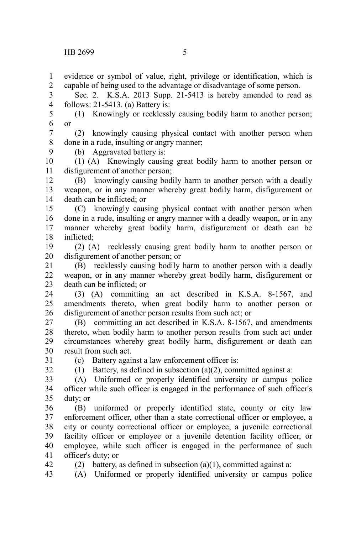evidence or symbol of value, right, privilege or identification, which is capable of being used to the advantage or disadvantage of some person. 1 2

Sec. 2. K.S.A. 2013 Supp. 21-5413 is hereby amended to read as follows: 21-5413. (a) Battery is: 3 4

(1) Knowingly or recklessly causing bodily harm to another person; or 5 6

(2) knowingly causing physical contact with another person when done in a rude, insulting or angry manner; 7 8

(b) Aggravated battery is:

(1) (A) Knowingly causing great bodily harm to another person or disfigurement of another person; 10 11

(B) knowingly causing bodily harm to another person with a deadly weapon, or in any manner whereby great bodily harm, disfigurement or death can be inflicted; or 12 13 14

(C) knowingly causing physical contact with another person when done in a rude, insulting or angry manner with a deadly weapon, or in any manner whereby great bodily harm, disfigurement or death can be inflicted; 15 16 17 18

(2) (A) recklessly causing great bodily harm to another person or disfigurement of another person; or 19 20

(B) recklessly causing bodily harm to another person with a deadly weapon, or in any manner whereby great bodily harm, disfigurement or death can be inflicted; or 21 22 23

(3) (A) committing an act described in K.S.A. 8-1567, and amendments thereto, when great bodily harm to another person or disfigurement of another person results from such act; or 24 25 26

(B) committing an act described in K.S.A. 8-1567, and amendments thereto, when bodily harm to another person results from such act under circumstances whereby great bodily harm, disfigurement or death can result from such act. 27 28 29 30

31 32

42

9

(c) Battery against a law enforcement officer is:

(1) Battery, as defined in subsection (a)(2), committed against a:

(A) Uniformed or properly identified university or campus police officer while such officer is engaged in the performance of such officer's duty; or 33 34 35

(B) uniformed or properly identified state, county or city law enforcement officer, other than a state correctional officer or employee, a city or county correctional officer or employee, a juvenile correctional facility officer or employee or a juvenile detention facility officer, or employee, while such officer is engaged in the performance of such officer's duty; or 36 37 38 39 40 41

(2) battery, as defined in subsection  $(a)(1)$ , committed against a:

(A) Uniformed or properly identified university or campus police 43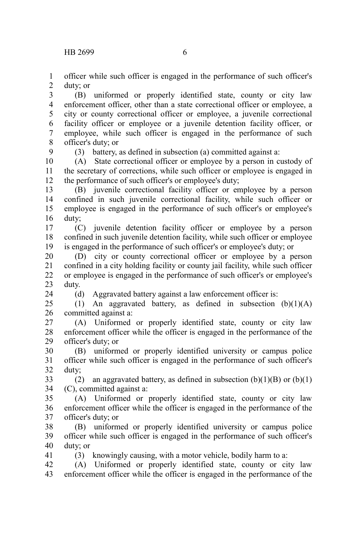officer while such officer is engaged in the performance of such officer's duty; or 1 2

(B) uniformed or properly identified state, county or city law enforcement officer, other than a state correctional officer or employee, a city or county correctional officer or employee, a juvenile correctional facility officer or employee or a juvenile detention facility officer, or employee, while such officer is engaged in the performance of such officer's duty; or 3 4 5 6 7 8

9

24

41

(3) battery, as defined in subsection (a) committed against a:

(A) State correctional officer or employee by a person in custody of the secretary of corrections, while such officer or employee is engaged in the performance of such officer's or employee's duty; 10 11 12

(B) juvenile correctional facility officer or employee by a person confined in such juvenile correctional facility, while such officer or employee is engaged in the performance of such officer's or employee's duty; 13 14 15 16

(C) juvenile detention facility officer or employee by a person confined in such juvenile detention facility, while such officer or employee is engaged in the performance of such officer's or employee's duty; or 17 18 19

(D) city or county correctional officer or employee by a person confined in a city holding facility or county jail facility, while such officer or employee is engaged in the performance of such officer's or employee's duty. 20 21 22 23

(d) Aggravated battery against a law enforcement officer is:

(1) An aggravated battery, as defined in subsection  $(b)(1)(A)$ committed against a: 25 26

(A) Uniformed or properly identified state, county or city law enforcement officer while the officer is engaged in the performance of the officer's duty; or 27 28 29

(B) uniformed or properly identified university or campus police officer while such officer is engaged in the performance of such officer's duty; 30 31 32

(2) an aggravated battery, as defined in subsection  $(b)(1)(B)$  or  $(b)(1)$ (C), committed against a: 33 34

(A) Uniformed or properly identified state, county or city law enforcement officer while the officer is engaged in the performance of the officer's duty; or 35 36 37

(B) uniformed or properly identified university or campus police officer while such officer is engaged in the performance of such officer's duty; or 38 39 40

(3) knowingly causing, with a motor vehicle, bodily harm to a:

(A) Uniformed or properly identified state, county or city law enforcement officer while the officer is engaged in the performance of the 42 43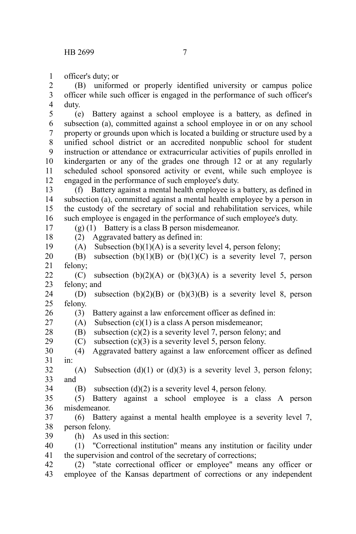officer's duty; or 1

(B) uniformed or properly identified university or campus police officer while such officer is engaged in the performance of such officer's duty. 2 3 4

(e) Battery against a school employee is a battery, as defined in subsection (a), committed against a school employee in or on any school property or grounds upon which is located a building or structure used by a unified school district or an accredited nonpublic school for student instruction or attendance or extracurricular activities of pupils enrolled in kindergarten or any of the grades one through 12 or at any regularly scheduled school sponsored activity or event, while such employee is engaged in the performance of such employee's duty. 5 6 7 8 9 10 11 12

(f) Battery against a mental health employee is a battery, as defined in subsection (a), committed against a mental health employee by a person in the custody of the secretary of social and rehabilitation services, while such employee is engaged in the performance of such employee's duty. 13 14 15 16

(g) (1) Battery is a class B person misdemeanor.

 $(2)$  Aggravated battery as defined in:

(A) Subsection  $(b)(1)(A)$  is a severity level 4, person felony;

(B) subsection  $(b)(1)(B)$  or  $(b)(1)(C)$  is a severity level 7, person felony; 20 21

(C) subsection  $(b)(2)(A)$  or  $(b)(3)(A)$  is a severity level 5, person felony; and 22 23

(D) subsection  $(b)(2)(B)$  or  $(b)(3)(B)$  is a severity level 8, person felony. 24 25

(3) Battery against a law enforcement officer as defined in: 26

 $(A)$  Subsection  $(c)(1)$  is a class A person misdemeanor; 27

(B) subsection  $(c)(2)$  is a severity level 7, person felony; and 28

(C) subsection  $(c)(3)$  is a severity level 5, person felony. 29

(4) Aggravated battery against a law enforcement officer as defined in: 30 31

(A) Subsection (d)(1) or (d)(3) is a severity level 3, person felony; and 32 33

(B) subsection  $(d)(2)$  is a severity level 4, person felony. 34

(5) Battery against a school employee is a class A person misdemeanor. 35 36

(6) Battery against a mental health employee is a severity level 7, person felony. 37 38

(h) As used in this section: 39

(1) "Correctional institution" means any institution or facility under the supervision and control of the secretary of corrections; 40 41

(2) "state correctional officer or employee" means any officer or employee of the Kansas department of corrections or any independent 42 43

19

17 18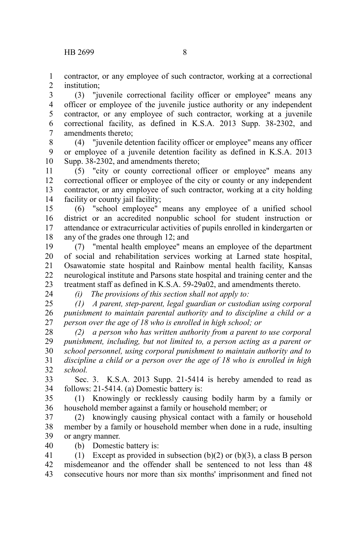contractor, or any employee of such contractor, working at a correctional institution; 1 2

(3) "juvenile correctional facility officer or employee" means any officer or employee of the juvenile justice authority or any independent contractor, or any employee of such contractor, working at a juvenile correctional facility, as defined in K.S.A. 2013 Supp. 38-2302, and amendments thereto; 3 4 5 6 7

(4) "juvenile detention facility officer or employee" means any officer or employee of a juvenile detention facility as defined in K.S.A. 2013 Supp. 38-2302, and amendments thereto; 8 9 10

(5) "city or county correctional officer or employee" means any correctional officer or employee of the city or county or any independent contractor, or any employee of such contractor, working at a city holding facility or county jail facility; 11 12 13 14

(6) "school employee" means any employee of a unified school district or an accredited nonpublic school for student instruction or attendance or extracurricular activities of pupils enrolled in kindergarten or any of the grades one through 12; and 15 16 17 18

(7) "mental health employee" means an employee of the department of social and rehabilitation services working at Larned state hospital, Osawatomie state hospital and Rainbow mental health facility, Kansas neurological institute and Parsons state hospital and training center and the treatment staff as defined in K.S.A. 59-29a02, and amendments thereto. 19 20 21 22 23

24

*(i) The provisions of this section shall not apply to:*

*(1) A parent, step-parent, legal guardian or custodian using corporal punishment to maintain parental authority and to discipline a child or a person over the age of 18 who is enrolled in high school; or* 25 26 27

*(2) a person who has written authority from a parent to use corporal punishment, including, but not limited to, a person acting as a parent or school personnel, using corporal punishment to maintain authority and to discipline a child or a person over the age of 18 who is enrolled in high school.* 28 29 30 31 32

Sec. 3. K.S.A. 2013 Supp. 21-5414 is hereby amended to read as follows: 21-5414. (a) Domestic battery is: 33 34

(1) Knowingly or recklessly causing bodily harm by a family or household member against a family or household member; or 35 36

(2) knowingly causing physical contact with a family or household member by a family or household member when done in a rude, insulting or angry manner. 37 38 39 40

(b) Domestic battery is:

(1) Except as provided in subsection  $(b)(2)$  or  $(b)(3)$ , a class B person misdemeanor and the offender shall be sentenced to not less than 48 consecutive hours nor more than six months' imprisonment and fined not 41 42 43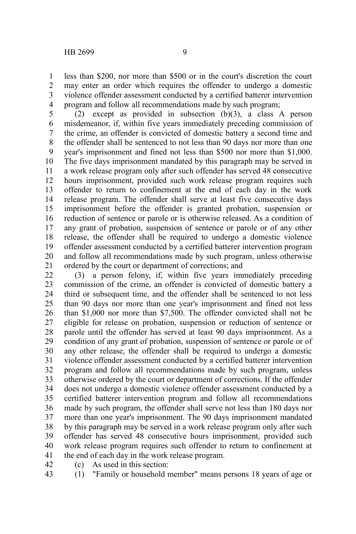1 2 3

program and follow all recommendations made by such program; (2) except as provided in subsection (b)(3), a class A person misdemeanor, if, within five years immediately preceding commission of the crime, an offender is convicted of domestic battery a second time and the offender shall be sentenced to not less than 90 days nor more than one year's imprisonment and fined not less than \$500 nor more than \$1,000. The five days imprisonment mandated by this paragraph may be served in a work release program only after such offender has served 48 consecutive hours imprisonment, provided such work release program requires such offender to return to confinement at the end of each day in the work release program. The offender shall serve at least five consecutive days imprisonment before the offender is granted probation, suspension or reduction of sentence or parole or is otherwise released. As a condition of any grant of probation, suspension of sentence or parole or of any other release, the offender shall be required to undergo a domestic violence offender assessment conducted by a certified batterer intervention program and follow all recommendations made by such program, unless otherwise ordered by the court or department of corrections; and 4 5 6 7 8 9 10 11 12 13 14 15 16 17 18 19 20 21

(3) a person felony, if, within five years immediately preceding commission of the crime, an offender is convicted of domestic battery a third or subsequent time, and the offender shall be sentenced to not less than 90 days nor more than one year's imprisonment and fined not less than \$1,000 nor more than \$7,500. The offender convicted shall not be eligible for release on probation, suspension or reduction of sentence or parole until the offender has served at least 90 days imprisonment. As a condition of any grant of probation, suspension of sentence or parole or of any other release, the offender shall be required to undergo a domestic violence offender assessment conducted by a certified batterer intervention program and follow all recommendations made by such program, unless otherwise ordered by the court or department of corrections. If the offender does not undergo a domestic violence offender assessment conducted by a certified batterer intervention program and follow all recommendations made by such program, the offender shall serve not less than 180 days nor more than one year's imprisonment. The 90 days imprisonment mandated by this paragraph may be served in a work release program only after such offender has served 48 consecutive hours imprisonment, provided such work release program requires such offender to return to confinement at the end of each day in the work release program. 22 23 24 25 26 27 28 29 30 31 32 33 34 35 36 37 38 39 40 41

(c) As used in this section: 42

(1) "Family or household member" means persons 18 years of age or 43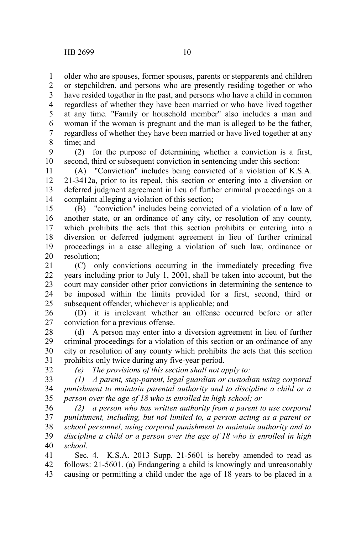32

older who are spouses, former spouses, parents or stepparents and children 1

or stepchildren, and persons who are presently residing together or who have resided together in the past, and persons who have a child in common regardless of whether they have been married or who have lived together at any time. "Family or household member" also includes a man and woman if the woman is pregnant and the man is alleged to be the father, regardless of whether they have been married or have lived together at any time; and 2 3 4 5 6 7 8

(2) for the purpose of determining whether a conviction is a first, second, third or subsequent conviction in sentencing under this section: 9 10

(A) "Conviction" includes being convicted of a violation of K.S.A. 21-3412a, prior to its repeal, this section or entering into a diversion or deferred judgment agreement in lieu of further criminal proceedings on a complaint alleging a violation of this section; 11 12 13 14

(B) "conviction" includes being convicted of a violation of a law of another state, or an ordinance of any city, or resolution of any county, which prohibits the acts that this section prohibits or entering into a diversion or deferred judgment agreement in lieu of further criminal proceedings in a case alleging a violation of such law, ordinance or resolution; 15 16 17 18 19 20

(C) only convictions occurring in the immediately preceding five years including prior to July 1, 2001, shall be taken into account, but the court may consider other prior convictions in determining the sentence to be imposed within the limits provided for a first, second, third or subsequent offender, whichever is applicable; and 21 22 23 24 25

(D) it is irrelevant whether an offense occurred before or after conviction for a previous offense. 26 27

(d) A person may enter into a diversion agreement in lieu of further criminal proceedings for a violation of this section or an ordinance of any city or resolution of any county which prohibits the acts that this section prohibits only twice during any five-year period. 28 29 30 31

*(e) The provisions of this section shall not apply to:*

*(1) A parent, step-parent, legal guardian or custodian using corporal punishment to maintain parental authority and to discipline a child or a person over the age of 18 who is enrolled in high school; or* 33 34 35

*(2) a person who has written authority from a parent to use corporal punishment, including, but not limited to, a person acting as a parent or school personnel, using corporal punishment to maintain authority and to discipline a child or a person over the age of 18 who is enrolled in high school.* 36 37 38 39 40

Sec. 4. K.S.A. 2013 Supp. 21-5601 is hereby amended to read as follows: 21-5601. (a) Endangering a child is knowingly and unreasonably causing or permitting a child under the age of 18 years to be placed in a 41 42 43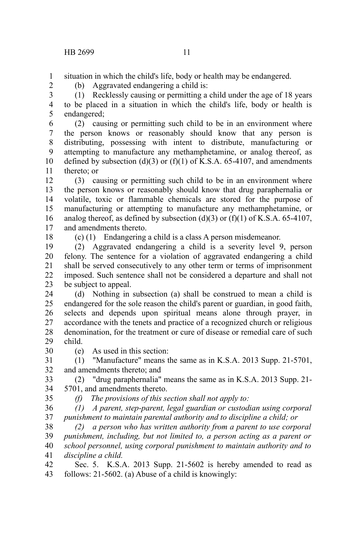situation in which the child's life, body or health may be endangered. 1

(b) Aggravated endangering a child is:

2

(1) Recklessly causing or permitting a child under the age of 18 years to be placed in a situation in which the child's life, body or health is endangered; 3 4 5

(2) causing or permitting such child to be in an environment where the person knows or reasonably should know that any person is distributing, possessing with intent to distribute, manufacturing or attempting to manufacture any methamphetamine, or analog thereof, as defined by subsection (d)(3) or (f)(1) of K.S.A. 65-4107, and amendments thereto; or 6 7 8 9 10 11

(3) causing or permitting such child to be in an environment where the person knows or reasonably should know that drug paraphernalia or volatile, toxic or flammable chemicals are stored for the purpose of manufacturing or attempting to manufacture any methamphetamine, or analog thereof, as defined by subsection (d)(3) or (f)(1) of K.S.A. 65-4107, and amendments thereto. 12 13 14 15 16 17

18

(c) (1) Endangering a child is a class A person misdemeanor.

(2) Aggravated endangering a child is a severity level 9, person felony. The sentence for a violation of aggravated endangering a child shall be served consecutively to any other term or terms of imprisonment imposed. Such sentence shall not be considered a departure and shall not be subject to appeal. 19 20 21 22 23

(d) Nothing in subsection (a) shall be construed to mean a child is endangered for the sole reason the child's parent or guardian, in good faith, selects and depends upon spiritual means alone through prayer, in accordance with the tenets and practice of a recognized church or religious denomination, for the treatment or cure of disease or remedial care of such child. 24 25 26 27 28 29

(e) As used in this section: 30

(1) "Manufacture" means the same as in K.S.A. 2013 Supp. 21-5701, and amendments thereto; and 31 32

(2) "drug paraphernalia" means the same as in K.S.A. 2013 Supp. 21- 5701, and amendments thereto. 33 34

35

*(f) The provisions of this section shall not apply to:*

*(1) A parent, step-parent, legal guardian or custodian using corporal punishment to maintain parental authority and to discipline a child; or* 36 37

*(2) a person who has written authority from a parent to use corporal punishment, including, but not limited to, a person acting as a parent or school personnel, using corporal punishment to maintain authority and to discipline a child.* 38 39 40 41

Sec. 5. K.S.A. 2013 Supp. 21-5602 is hereby amended to read as follows: 21-5602. (a) Abuse of a child is knowingly: 42 43